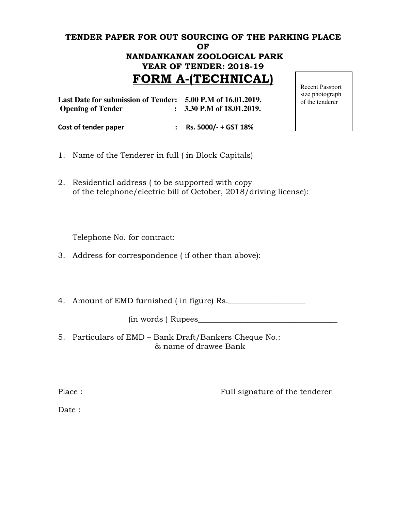# TENDER PAPER FOR OUT SOURCING OF THE PARKING PLACE OF NANDANKANAN ZOOLOGICAL PARK YEAR OF TENDER: 2018-19 FORM A-(TECHNICAL)

| Last Date for submission of Tender: 5.00 P.M of 16.01.2019.<br><b>Opening of Tender</b> | $\therefore$ 3.30 P.M of 18.01.2019. |  |
|-----------------------------------------------------------------------------------------|--------------------------------------|--|
| Cost of tender paper                                                                    | : Rs. $5000/- + GST 18%$             |  |

Recent Passport size photograph of the tenderer

- 1. Name of the Tenderer in full ( in Block Capitals)
- 2. Residential address ( to be supported with copy of the telephone/electric bill of October, 2018/driving license):

Telephone No. for contract:

3. Address for correspondence ( if other than above):

4. Amount of EMD furnished (in figure) Rs.

(in words ) Rupees\_\_\_\_\_\_\_\_\_\_\_\_\_\_\_\_\_\_\_\_\_\_\_\_\_\_\_\_\_\_\_\_\_\_\_\_

5. Particulars of EMD – Bank Draft/Bankers Cheque No.: & name of drawee Bank

Place : Full signature of the tenderer

Date: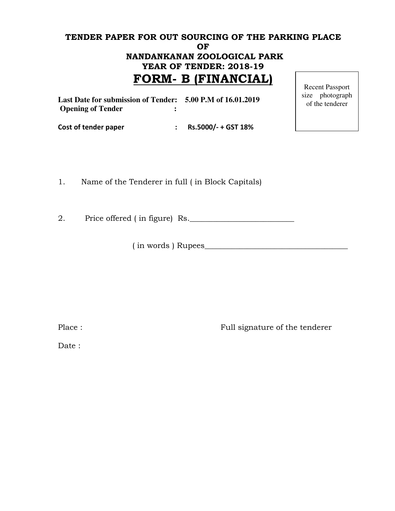## TENDER PAPER FOR OUT SOURCING OF THE PARKING PLACE OF NANDANKANAN ZOOLOGICAL PARK YEAR OF TENDER: 2018-19 FORM- B (FINANCIAL) Recent Passport

| Last Date for submission of Tender: 5.00 P.M of 16.01.2019<br><b>Opening of Tender</b> |                     | size photograph<br>of the tenderer |
|----------------------------------------------------------------------------------------|---------------------|------------------------------------|
| Cost of tender paper                                                                   | Rs.5000/- + GST 18% |                                    |

1. Name of the Tenderer in full ( in Block Capitals)

2. Price offered (in figure) Rs.

( in words ) Rupees\_\_\_\_\_\_\_\_\_\_\_\_\_\_\_\_\_\_\_\_\_\_\_\_\_\_\_\_\_\_\_\_\_\_\_\_\_

Place : Full signature of the tenderer

Date :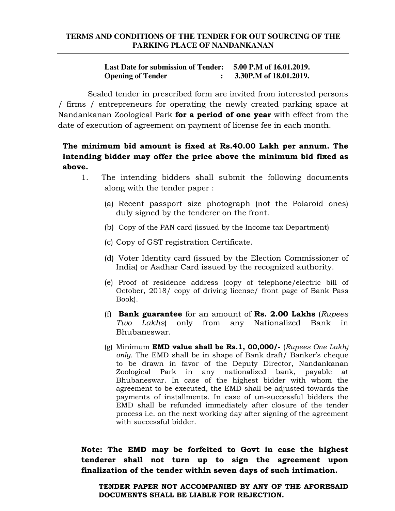#### **TERMS AND CONDITIONS OF THE TENDER FOR OUT SOURCING OF THE PARKING PLACE OF NANDANKANAN**

#### **Last Date for submission of Tender: 5.00 P.M of 16.01.2019. Opening of Tender : 3.30P.M of 18.01.2019.**

 Sealed tender in prescribed form are invited from interested persons / firms / entrepreneurs for operating the newly created parking space at Nandankanan Zoological Park for a period of one year with effect from the date of execution of agreement on payment of license fee in each month.

## The minimum bid amount is fixed at Rs.40.00 Lakh per annum. The intending bidder may offer the price above the minimum bid fixed as above.

- 1. The intending bidders shall submit the following documents along with the tender paper :
	- (a) Recent passport size photograph (not the Polaroid ones) duly signed by the tenderer on the front.
	- (b) Copy of the PAN card (issued by the Income tax Department)
	- (c) Copy of GST registration Certificate.
	- (d) Voter Identity card (issued by the Election Commissioner of India) or Aadhar Card issued by the recognized authority.
	- (e) Proof of residence address (copy of telephone/electric bill of October, 2018/ copy of driving license/ front page of Bank Pass Book).
	- (f) Bank guarantee for an amount of Rs. 2.00 Lakhs ( $Runees$ Two Lakhs) only from any Nationalized Bank in Bhubaneswar.
	- (g) Minimum **EMD value shall be Rs.1, 00,000/-** (Rupees One Lakh) only. The EMD shall be in shape of Bank draft/ Banker's cheque to be drawn in favor of the Deputy Director, Nandankanan Zoological Park in any nationalized bank, payable at Bhubaneswar. In case of the highest bidder with whom the agreement to be executed, the EMD shall be adjusted towards the payments of installments. In case of un-successful bidders the EMD shall be refunded immediately after closure of the tender process i.e. on the next working day after signing of the agreement with successful bidder.

Note: The EMD may be forfeited to Govt in case the highest tenderer shall not turn up to sign the agreement upon finalization of the tender within seven days of such intimation.

TENDER PAPER NOT ACCOMPANIED BY ANY OF THE AFORESAID DOCUMENTS SHALL BE LIABLE FOR REJECTION.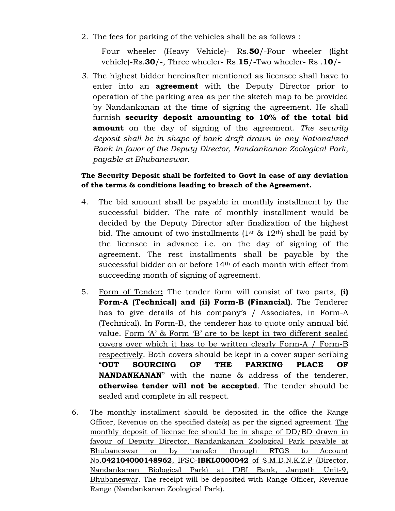2. The fees for parking of the vehicles shall be as follows :

Four wheeler (Heavy Vehicle)- Rs.50/-Four wheeler (light vehicle)-Rs.30/-, Three wheeler- Rs.15/-Two wheeler- Rs .10/-

3. The highest bidder hereinafter mentioned as licensee shall have to enter into an **agreement** with the Deputy Director prior to operation of the parking area as per the sketch map to be provided by Nandankanan at the time of signing the agreement. He shall furnish security deposit amounting to 10% of the total bid **amount** on the day of signing of the agreement. The security deposit shall be in shape of bank draft drawn in any Nationalized Bank in favor of the Deputy Director, Nandankanan Zoological Park, payable at Bhubaneswar.

### The Security Deposit shall be forfeited to Govt in case of any deviation of the terms & conditions leading to breach of the Agreement.

- 4. The bid amount shall be payable in monthly installment by the successful bidder. The rate of monthly installment would be decided by the Deputy Director after finalization of the highest bid. The amount of two installments  $(1^{st} \& 12^{th})$  shall be paid by the licensee in advance i.e. on the day of signing of the agreement. The rest installments shall be payable by the successful bidder on or before 14<sup>th</sup> of each month with effect from succeeding month of signing of agreement.
- 5. Form of Tender: The tender form will consist of two parts, (i) Form-A (Technical) and (ii) Form-B (Financial). The Tenderer has to give details of his company's / Associates, in Form-A (Technical). In Form-B, the tenderer has to quote only annual bid value. Form 'A' & Form 'B' are to be kept in two different sealed covers over which it has to be written clearly Form-A / Form-B respectively. Both covers should be kept in a cover super-scribing "OUT SOURCING OF THE PARKING PLACE OF NANDANKANAN" with the name & address of the tenderer, otherwise tender will not be accepted. The tender should be sealed and complete in all respect.
- 6. The monthly installment should be deposited in the office the Range Officer, Revenue on the specified date(s) as per the signed agreement. The monthly deposit of license fee should be in shape of DD/BD drawn in favour of Deputy Director, Nandankanan Zoological Park payable at Bhubaneswar or by transfer through RTGS to Account No.042104000148962, IFSC-IBKL0000042 of S.M.D.N.K.Z.P (Director, Nandankanan Biological Park) at IDBI Bank, Janpath Unit-9, Bhubaneswar. The receipt will be deposited with Range Officer, Revenue Range (Nandankanan Zoological Park).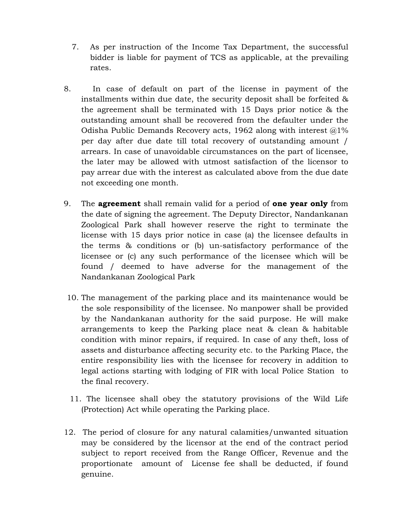- 7. As per instruction of the Income Tax Department, the successful bidder is liable for payment of TCS as applicable, at the prevailing rates.
- 8. In case of default on part of the license in payment of the installments within due date, the security deposit shall be forfeited & the agreement shall be terminated with 15 Days prior notice & the outstanding amount shall be recovered from the defaulter under the Odisha Public Demands Recovery acts, 1962 along with interest  $@1\%$ per day after due date till total recovery of outstanding amount / arrears. In case of unavoidable circumstances on the part of licensee, the later may be allowed with utmost satisfaction of the licensor to pay arrear due with the interest as calculated above from the due date not exceeding one month.
- 9. The **agreement** shall remain valid for a period of **one year only** from the date of signing the agreement. The Deputy Director, Nandankanan Zoological Park shall however reserve the right to terminate the license with 15 days prior notice in case (a) the licensee defaults in the terms & conditions or (b) un-satisfactory performance of the licensee or (c) any such performance of the licensee which will be found / deemed to have adverse for the management of the Nandankanan Zoological Park
	- 10. The management of the parking place and its maintenance would be the sole responsibility of the licensee. No manpower shall be provided by the Nandankanan authority for the said purpose. He will make arrangements to keep the Parking place neat & clean & habitable condition with minor repairs, if required. In case of any theft, loss of assets and disturbance affecting security etc. to the Parking Place, the entire responsibility lies with the licensee for recovery in addition to legal actions starting with lodging of FIR with local Police Station to the final recovery.
	- 11. The licensee shall obey the statutory provisions of the Wild Life (Protection) Act while operating the Parking place.
- 12. The period of closure for any natural calamities/unwanted situation may be considered by the licensor at the end of the contract period subject to report received from the Range Officer, Revenue and the proportionate amount of License fee shall be deducted, if found genuine.